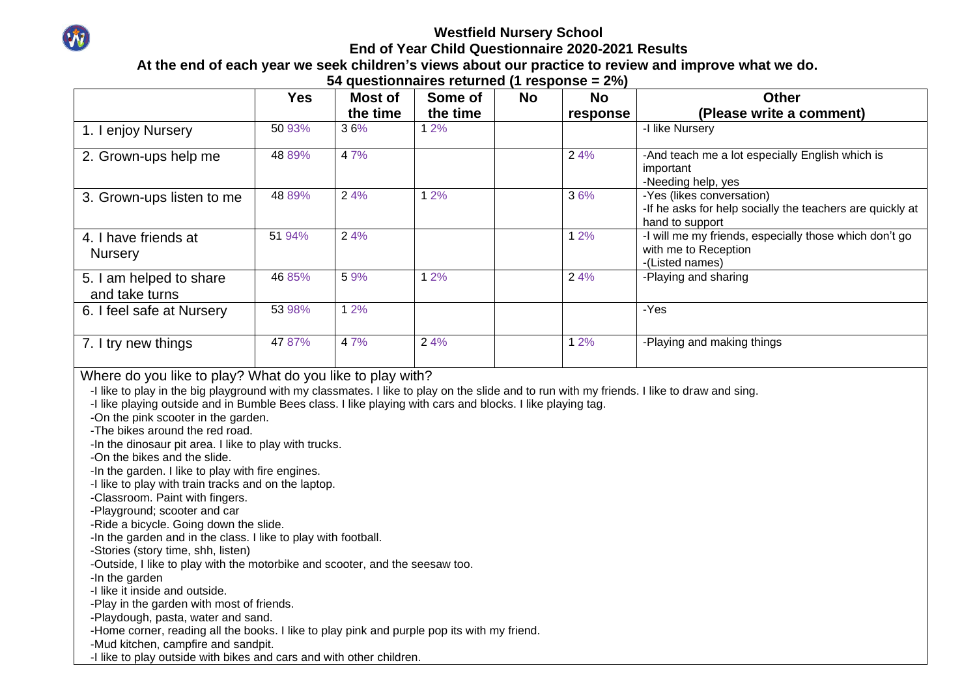

## **Westfield Nursery School End of Year Child Questionnaire 2020-2021 Results**

## **At the end of each year we seek children's views about our practice to review and improve what we do.**

**54 questionnaires returned (1 response = 2%)**

|                                                                                                                                                                                                                                                                                                                                                                                                                                                                                                                                                                                                                                                                                                                                                                                                                                                                                                                                                                                                                                                                                                                                                                                                                                                                  | <b>Yes</b> | <b>Most of</b> | Some of  | <b>No</b> | <b>No</b> | <b>Other</b>                                                                                              |
|------------------------------------------------------------------------------------------------------------------------------------------------------------------------------------------------------------------------------------------------------------------------------------------------------------------------------------------------------------------------------------------------------------------------------------------------------------------------------------------------------------------------------------------------------------------------------------------------------------------------------------------------------------------------------------------------------------------------------------------------------------------------------------------------------------------------------------------------------------------------------------------------------------------------------------------------------------------------------------------------------------------------------------------------------------------------------------------------------------------------------------------------------------------------------------------------------------------------------------------------------------------|------------|----------------|----------|-----------|-----------|-----------------------------------------------------------------------------------------------------------|
|                                                                                                                                                                                                                                                                                                                                                                                                                                                                                                                                                                                                                                                                                                                                                                                                                                                                                                                                                                                                                                                                                                                                                                                                                                                                  |            | the time       | the time |           | response  | (Please write a comment)                                                                                  |
| 1. I enjoy Nursery                                                                                                                                                                                                                                                                                                                                                                                                                                                                                                                                                                                                                                                                                                                                                                                                                                                                                                                                                                                                                                                                                                                                                                                                                                               | 50 93%     | 36%            | 12%      |           |           | -I like Nursery                                                                                           |
| 2. Grown-ups help me                                                                                                                                                                                                                                                                                                                                                                                                                                                                                                                                                                                                                                                                                                                                                                                                                                                                                                                                                                                                                                                                                                                                                                                                                                             | 48 89%     | 47%            |          |           | 2 4%      | -And teach me a lot especially English which is<br>important<br>-Needing help, yes                        |
| 3. Grown-ups listen to me                                                                                                                                                                                                                                                                                                                                                                                                                                                                                                                                                                                                                                                                                                                                                                                                                                                                                                                                                                                                                                                                                                                                                                                                                                        | 48 89%     | 2 4%           | 1 2%     |           | 36%       | -Yes (likes conversation)<br>-If he asks for help socially the teachers are quickly at<br>hand to support |
| 4. I have friends at<br><b>Nursery</b>                                                                                                                                                                                                                                                                                                                                                                                                                                                                                                                                                                                                                                                                                                                                                                                                                                                                                                                                                                                                                                                                                                                                                                                                                           | 51 94%     | 2 4%           |          |           | 12%       | -I will me my friends, especially those which don't go<br>with me to Reception<br>-(Listed names)         |
| 5. I am helped to share<br>and take turns                                                                                                                                                                                                                                                                                                                                                                                                                                                                                                                                                                                                                                                                                                                                                                                                                                                                                                                                                                                                                                                                                                                                                                                                                        | 46 85%     | 59%            | 1 2%     |           | 2 4%      | -Playing and sharing                                                                                      |
| 6. I feel safe at Nursery                                                                                                                                                                                                                                                                                                                                                                                                                                                                                                                                                                                                                                                                                                                                                                                                                                                                                                                                                                                                                                                                                                                                                                                                                                        | 53 98%     | 1 2%           |          |           |           | -Yes                                                                                                      |
| 7. I try new things                                                                                                                                                                                                                                                                                                                                                                                                                                                                                                                                                                                                                                                                                                                                                                                                                                                                                                                                                                                                                                                                                                                                                                                                                                              | 47 87%     | 47%            | 24%      |           | 1 2%      | -Playing and making things                                                                                |
| Where do you like to play? What do you like to play with?<br>-I like to play in the big playground with my classmates. I like to play on the slide and to run with my friends. I like to draw and sing.<br>-I like playing outside and in Bumble Bees class. I like playing with cars and blocks. I like playing tag.<br>-On the pink scooter in the garden.<br>-The bikes around the red road.<br>-In the dinosaur pit area. I like to play with trucks.<br>-On the bikes and the slide.<br>-In the garden. I like to play with fire engines.<br>-I like to play with train tracks and on the laptop.<br>-Classroom. Paint with fingers.<br>-Playground; scooter and car<br>-Ride a bicycle. Going down the slide.<br>-In the garden and in the class. I like to play with football.<br>-Stories (story time, shh, listen)<br>-Outside, I like to play with the motorbike and scooter, and the seesaw too.<br>-In the garden<br>-I like it inside and outside.<br>-Play in the garden with most of friends.<br>-Playdough, pasta, water and sand.<br>-Home corner, reading all the books. I like to play pink and purple pop its with my friend.<br>-Mud kitchen, campfire and sandpit.<br>-I like to play outside with bikes and cars and with other children. |            |                |          |           |           |                                                                                                           |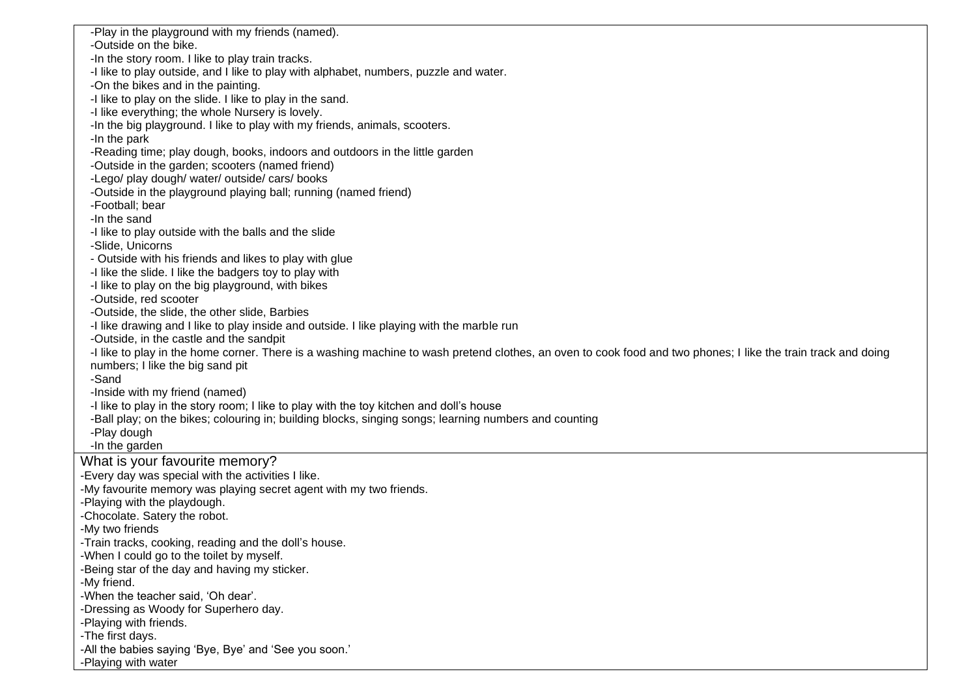-Play in the playground with my friends (named). -Outside on the bike. -In the story room. I like to play train tracks. -I like to play outside, and I like to play with alphabet, numbers, puzzle and water. -On the bikes and in the painting. -I like to play on the slide. I like to play in the sand. -I like everything; the whole Nursery is lovely. -In the big playground. I like to play with my friends, animals, scooters. -In the park -Reading time; play dough, books, indoors and outdoors in the little garden -Outside in the garden; scooters (named friend) -Lego/ play dough/ water/ outside/ cars/ books -Outside in the playground playing ball; running (named friend) -Football; bear -In the sand -I like to play outside with the balls and the slide -Slide, Unicorns - Outside with his friends and likes to play with glue -I like the slide. I like the badgers toy to play with -I like to play on the big playground, with bikes -Outside, red scooter -Outside, the slide, the other slide, Barbies -I like drawing and I like to play inside and outside. I like playing with the marble run -Outside, in the castle and the sandpit -I like to play in the home corner. There is a washing machine to wash pretend clothes, an oven to cook food and two phones; I like the train track and doing numbers; I like the big sand pit -Sand -Inside with my friend (named) -I like to play in the story room; I like to play with the toy kitchen and doll's house -Ball play; on the bikes; colouring in; building blocks, singing songs; learning numbers and counting -Play dough -In the garden What is your favourite memory? -Every day was special with the activities I like. -My favourite memory was playing secret agent with my two friends. -Playing with the playdough. -Chocolate. Satery the robot. -My two friends -Train tracks, cooking, reading and the doll's house. -When I could go to the toilet by myself. -Being star of the day and having my sticker. -My friend. -When the teacher said, 'Oh dear'. -Dressing as Woody for Superhero day. -Playing with friends. -The first days. -All the babies saying 'Bye, Bye' and 'See you soon.' -Playing with water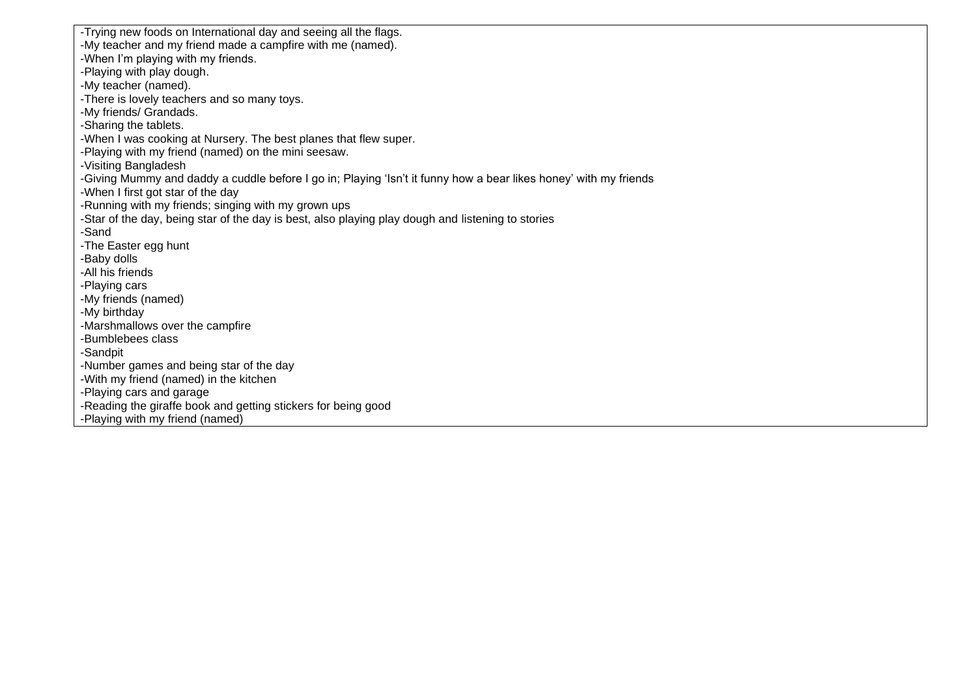-Trying new foods on International day and seeing all the flags. -My teacher and my friend made a campfire with me (named). -When I'm playing with my friends. -Playing with play dough. -My teacher (named). -There is lovely teachers and so many toys. -My friends/ Grandads. -Sharing the tablets. -When I was cooking at Nursery. The best planes that flew super. -Playing with my friend (named) on the mini seesaw. -Visiting Bangladesh -Giving Mummy and daddy a cuddle before I go in; Playing 'Isn't it funny how a bear likes honey' with my friends -When I first got star of the day -Running with my friends; singing with my grown ups -Star of the day, being star of the day is best, also playing play dough and listening to stories -Sand -The Easter egg hunt -Baby dolls -All his friends -Playing cars -My friends (named) -My birthday -Marshmallows over the campfire -Bumblebees class -Sandpit -Number games and being star of the day -With my friend (named) in the kitchen -Playing cars and garage -Reading the giraffe book and getting stickers for being good -Playing with my friend (named)